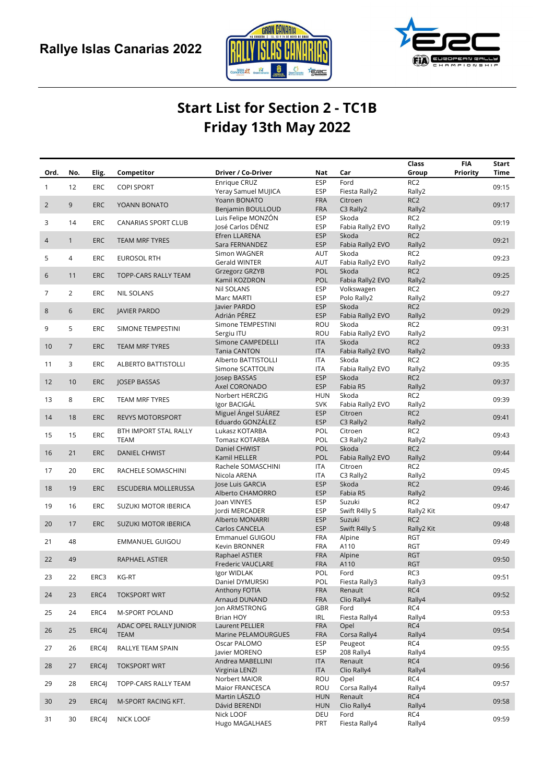



## Start List for Section 2 - TC1B Friday 13th May 2022

|                 |                |            |                             |                                 |                   |                           | Class                     | <b>FIA</b>      | <b>Start</b> |
|-----------------|----------------|------------|-----------------------------|---------------------------------|-------------------|---------------------------|---------------------------|-----------------|--------------|
| Ord.            | No.            | Elig.      | Competitor                  | Driver / Co-Driver              | Nat               | Car                       | Group                     | <b>Priority</b> | Time         |
|                 |                |            |                             | Enrique CRUZ                    | <b>ESP</b>        | Ford                      | RC <sub>2</sub>           |                 |              |
| 1               | 12             | ERC        | <b>COPI SPORT</b>           | Yeray Samuel MUJICA             | <b>ESP</b>        | Fiesta Rally2             | Rally2                    |                 | 09:15        |
| $\overline{2}$  | 9              | <b>ERC</b> | YOANN BONATO                | Yoann BONATO                    | <b>FRA</b>        | Citroen                   | RC <sub>2</sub>           |                 | 09:17        |
|                 |                |            |                             | Benjamin BOULLOUD               | <b>FRA</b>        | C3 Rally2                 | Rally2                    |                 |              |
| 3               | 14             | <b>ERC</b> | <b>CANARIAS SPORT CLUB</b>  | Luis Felipe MONZÓN              | <b>ESP</b>        | Skoda                     | RC <sub>2</sub>           |                 | 09:19        |
|                 |                |            |                             | José Carlos DÉNIZ               | <b>ESP</b>        | Fabia Rally2 EVO          | Rally2                    |                 |              |
| $\overline{4}$  | $\mathbf{1}$   | <b>ERC</b> | TEAM MRF TYRES              | Efren LLARENA                   | <b>ESP</b>        | Skoda                     | RC <sub>2</sub>           |                 | 09:21        |
|                 |                |            |                             | Sara FERNANDEZ                  | <b>ESP</b>        | Fabia Rally2 EVO          | Rally2                    |                 |              |
| 5               | 4              | <b>ERC</b> | <b>EUROSOL RTH</b>          | Simon WAGNER                    | AUT               | Skoda                     | RC <sub>2</sub>           |                 | 09:23        |
|                 |                |            |                             | Gerald WINTER                   | AUT               | Fabia Rally2 EVO          | Rally2                    |                 |              |
| 6               | 11             | <b>ERC</b> | TOPP-CARS RALLY TEAM        | Grzegorz GRZYB                  | <b>POL</b>        | Skoda                     | RC <sub>2</sub>           |                 | 09:25        |
|                 |                |            |                             | Kamil KOZDRON                   | POL               | Fabia Rally2 EVO          | Rally2                    |                 |              |
| 7               | $\overline{2}$ | <b>ERC</b> | <b>NIL SOLANS</b>           | <b>Nil SOLANS</b>               | <b>ESP</b>        | Volkswagen                | RC <sub>2</sub>           |                 | 09:27        |
|                 |                |            |                             | Marc MARTI                      | <b>ESP</b>        | Polo Rally2               | Rally2                    |                 |              |
| 8               | 6              | <b>ERC</b> | <b>JAVIER PARDO</b>         | lavier PARDO                    | <b>ESP</b>        | Skoda                     | RC <sub>2</sub>           |                 | 09:29        |
|                 |                |            |                             | Adrián PÉREZ                    | <b>ESP</b>        | Fabia Rally2 EVO          | Rally2                    |                 |              |
| 9               | 5              | <b>ERC</b> | SIMONE TEMPESTINI           | Simone TEMPESTINI               | ROU               | Skoda                     | RC <sub>2</sub>           |                 | 09:31        |
|                 |                |            |                             | Sergiu ITU<br>Simone CAMPEDELLI | ROU<br><b>ITA</b> | Fabia Rally2 EVO<br>Skoda | Rally2<br>RC <sub>2</sub> |                 |              |
| 10 <sup>°</sup> | $\overline{7}$ | <b>ERC</b> | TEAM MRF TYRES              | <b>Tania CANTON</b>             | <b>ITA</b>        | Fabia Rally2 EVO          | Rally2                    |                 | 09:33        |
|                 |                |            |                             | Alberto BATTISTOLLI             | ITA               | Skoda                     | RC <sub>2</sub>           |                 |              |
| 11              | 3              | <b>ERC</b> | ALBERTO BATTISTOLLI         | Simone SCATTOLIN                | ITA               | Fabia Rally2 EVO          | Rally2                    |                 | 09:35        |
|                 |                |            |                             | Josep BASSAS                    | <b>ESP</b>        | Skoda                     | RC <sub>2</sub>           |                 |              |
| 12              | 10             | <b>ERC</b> | <b>JOSEP BASSAS</b>         | Axel CORONADO                   | <b>ESP</b>        | Fabia R5                  | Rally2                    |                 | 09:37        |
|                 |                |            |                             | Norbert HERCZIG                 | <b>HUN</b>        | Skoda                     | RC <sub>2</sub>           |                 |              |
| 13              | 8              | <b>ERC</b> | TEAM MRF TYRES              | Igor BACIGÁL                    | <b>SVK</b>        | Fabia Rally2 EVO          | Rally2                    |                 | 09:39        |
|                 |                |            |                             | Miguel Ángel SUÁREZ             | <b>ESP</b>        | Citroen                   | RC <sub>2</sub>           |                 |              |
| 14              | 18             | <b>ERC</b> | <b>REVYS MOTORSPORT</b>     | Eduardo GONZÁLEZ                | <b>ESP</b>        | C3 Rally2                 | Rally2                    |                 | 09:41        |
|                 |                |            | BTH IMPORT STAL RALLY       | Lukasz KOTARBA                  | POL               | Citroen                   | RC <sub>2</sub>           |                 |              |
| 15              | 15             | <b>ERC</b> | <b>TEAM</b>                 | Tomasz KOTARBA                  | POL               | C3 Rally2                 | Rally2                    |                 | 09:43        |
|                 |                |            |                             | Daniel CHWIST                   | <b>POL</b>        | Skoda                     | RC <sub>2</sub>           |                 |              |
| 16              | 21             | <b>ERC</b> | <b>DANIEL CHWIST</b>        | Kamil HELLER                    | POL               | Fabia Rally2 EVO          | Rally2                    |                 | 09:44        |
| 17              | 20             | <b>ERC</b> |                             | Rachele SOMASCHINI              | <b>ITA</b>        | Citroen                   | RC <sub>2</sub>           |                 | 09:45        |
|                 |                |            | RACHELE SOMASCHINI          | Nicola ARENA                    | <b>ITA</b>        | C3 Rally2                 | Rally2                    |                 |              |
| 18              | 19             | <b>ERC</b> | ESCUDERIA MOLLERUSSA        | Jose Luis GARCIA                | <b>ESP</b>        | Skoda                     | RC <sub>2</sub>           |                 | 09:46        |
|                 |                |            |                             | Alberto CHAMORRO                | <b>ESP</b>        | Fabia R5                  | Rally2                    |                 |              |
| 19              | 16             | <b>ERC</b> | SUZUKI MOTOR IBERICA        | Joan VINYES                     | <b>ESP</b>        | Suzuki                    | RC <sub>2</sub>           |                 | 09:47        |
|                 |                |            |                             | Jordi MERCADER                  | ESP               | Swift R4lly S             | Rally2 Kit                |                 |              |
| 20              | 17             | <b>ERC</b> | <b>SUZUKI MOTOR IBERICA</b> | Alberto MONARRI                 | <b>ESP</b>        | Suzuki                    | RC <sub>2</sub>           |                 | 09:48        |
|                 |                |            |                             | Carlos CANCELA                  | <b>ESP</b>        | Swift R4lly S             | Rally2 Kit                |                 |              |
| 21              | 48             |            | <b>EMMANUEL GUIGOU</b>      | Emmanuel GUIGOU                 | <b>FRA</b>        | Alpine                    | <b>RGT</b>                |                 | 09:49        |
|                 |                |            |                             | Kevin BRONNER                   | <b>FRA</b>        | A110                      | <b>RGT</b>                |                 |              |
| 22              | 49             |            | RAPHAEL ASTIER              | Raphael ASTIER                  | <b>FRA</b>        | Alpine                    | <b>RGT</b>                |                 | 09:50        |
|                 |                |            |                             | Frederic VAUCLARE               | <b>FRA</b><br>POL | A110<br>Ford              | <b>RGT</b>                |                 |              |
| 23              | 22             | ERC3       | KG-RT                       | Igor WIDLAK<br>Daniel DYMURSKI  | POL               | Fiesta Rally3             | RC3<br>Rally3             |                 | 09:51        |
|                 |                |            |                             | Anthony FOTIA                   | <b>FRA</b>        | Renault                   | RC4                       |                 |              |
| 24              | 23             | ERC4       | <b>TOKSPORT WRT</b>         | Arnaud DUNAND                   | <b>FRA</b>        | Clio Rally4               | Rally4                    |                 | 09:52        |
|                 |                |            |                             | Jon ARMSTRONG                   | <b>GBR</b>        | Ford                      | RC4                       |                 |              |
| 25              | 24             | ERC4       | <b>M-SPORT POLAND</b>       | Brian HOY                       | IRL               | Fiesta Rally4             | Rally4                    |                 | 09:53        |
|                 |                |            | ADAC OPEL RALLY JUNIOR      | Laurent PELLIER                 | <b>FRA</b>        | Opel                      | RC4                       |                 |              |
| 26              | 25             | ERC4J      | <b>TEAM</b>                 | Marine PELAMOURGUES             | <b>FRA</b>        | Corsa Rally4              | Rally4                    |                 | 09:54        |
|                 |                |            |                             | Oscar PALOMO                    | <b>ESP</b>        | Peugeot                   | RC4                       |                 |              |
| 27              | 26             | ERC4J      | RALLYE TEAM SPAIN           | Javier MORENO                   | <b>ESP</b>        | 208 Rally4                | Rally4                    |                 | 09:55        |
|                 |                |            |                             | Andrea MABELLINI                | <b>ITA</b>        | Renault                   | RC4                       |                 |              |
| 28              | 27             | ERC4J      | <b>TOKSPORT WRT</b>         | Virginia LENZI                  | ITA               | Clio Rally4               | Rally4                    |                 | 09:56        |
|                 |                |            |                             | Norbert MAIOR                   | ROU               | Opel                      | RC4                       |                 | 09:57        |
| 29              | 28             | ERC4J      | TOPP-CARS RALLY TEAM        | Maior FRANCESCA                 | ROU               | Corsa Rally4              | Rally4                    |                 |              |
| 30              | 29             | ERC4J      | M-SPORT RACING KFT.         | Martin LÁSZLÓ                   | <b>HUN</b>        | Renault                   | RC4                       |                 | 09:58        |
|                 |                |            |                             | Dávid BERENDI                   | <b>HUN</b>        | Clio Rally4               | Rally4                    |                 |              |
| 31              | 30             | ERC4J      | <b>NICK LOOF</b>            | Nick LOOF                       | DEU               | Ford                      | RC4                       |                 | 09:59        |
|                 |                |            |                             | Hugo MAGALHAES                  | PRT               | Fiesta Rally4             | Rally4                    |                 |              |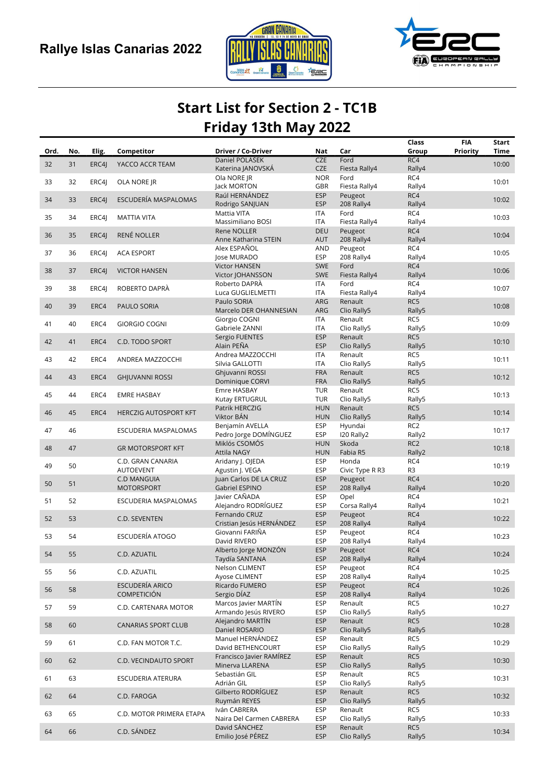



## Start List for Section 2 - TC1B Friday 13th May 2022

|      |     |       |                                       |                                     |                          |                        | Class           | <b>FIA</b> | <b>Start</b> |
|------|-----|-------|---------------------------------------|-------------------------------------|--------------------------|------------------------|-----------------|------------|--------------|
| Ord. | No. | Elig. | Competitor                            | Driver / Co-Driver                  | Nat                      | Car<br>Ford            | Group<br>RC4    | Priority   | Time         |
| 32   | 31  | ERC4J | YACCO ACCR TEAM                       | Daniel POLASEK<br>Katerina JANOVSKÁ | <b>CZE</b><br><b>CZE</b> | Fiesta Rally4          | Rally4          |            | 10:00        |
|      |     |       |                                       | Ola NORE JR                         | <b>NOR</b>               | Ford                   | RC4             |            |              |
| 33   | 32  | ERC4J | OLA NORE JR                           | Jack MORTON                         | <b>GBR</b>               | Fiesta Rally4          | Rally4          |            | 10:01        |
|      |     |       |                                       | Raúl HERNÁNDEZ                      | <b>ESP</b>               | Peugeot                | RC4             |            |              |
| 34   | 33  | ERC4I | ESCUDERÍA MASPALOMAS                  | Rodrigo SANJUAN                     | <b>ESP</b>               | 208 Rally4             | Rally4          |            | 10:02        |
|      |     |       |                                       | Mattia VITA                         | <b>ITA</b>               | Ford                   | RC4             |            |              |
| 35   | 34  | ERC4J | <b>MATTIA VITA</b>                    | Massimiliano BOSI                   | <b>ITA</b>               | Fiesta Rally4          | Rally4          |            | 10:03        |
| 36   | 35  | ERC4J | RENÉ NOLLER                           | Rene NOLLER                         | DEU                      | Peugeot                | RC4             |            | 10:04        |
|      |     |       |                                       | Anne Katharina STEIN                | <b>AUT</b>               | 208 Rally4             | Rally4          |            |              |
| 37   | 36  | ERC4J | <b>ACA ESPORT</b>                     | Alex ESPAÑOL                        | <b>AND</b>               | Peugeot                | RC4             |            | 10:05        |
|      |     |       |                                       | Jose MURADO                         | ESP                      | 208 Rally4             | Rally4          |            |              |
| 38   | 37  | ERC4J | <b>VICTOR HANSEN</b>                  | <b>Victor HANSEN</b>                | <b>SWE</b>               | Ford                   | RC4             |            | 10:06        |
|      |     |       |                                       | Victor JOHANSSON<br>Roberto DAPRÀ   | <b>SWE</b><br><b>ITA</b> | Fiesta Rally4<br>Ford  | Rally4<br>RC4   |            |              |
| 39   | 38  | ERC4J | ROBERTO DAPRÀ                         | Luca GUGLIELMETTI                   | <b>ITA</b>               | Fiesta Rally4          | Rally4          |            | 10:07        |
|      |     |       |                                       | Paulo SORIA                         | ARG                      | Renault                | RC5             |            |              |
| 40   | 39  | ERC4  | PAULO SORIA                           | Marcelo DER OHANNESIAN              | ARG                      | Clio Rally5            | Rally5          |            | 10:08        |
|      |     |       |                                       | Giorgio COGNI                       | <b>ITA</b>               | Renault                | RC5             |            |              |
| 41   | 40  | ERC4  | <b>GIORGIO COGNI</b>                  | Gabriele ZANNI                      | <b>ITA</b>               | Clio Rally5            | Rally5          |            | 10:09        |
| 42   | 41  | ERC4  | C.D. TODO SPORT                       | Sergio FUENTES                      | <b>ESP</b>               | Renault                | RC5             |            | 10:10        |
|      |     |       |                                       | Alain PEÑA                          | <b>ESP</b>               | Clio Rally5            | Rally5          |            |              |
| 43   | 42  | ERC4  | ANDREA MAZZOCCHI                      | Andrea MAZZOCCHI                    | <b>ITA</b>               | Renault                | RC5             |            | 10:11        |
|      |     |       |                                       | Silvia GALLOTTI                     | <b>ITA</b>               | Clio Rally5            | Rally5          |            |              |
| 44   | 43  | ERC4  | <b>GHJUVANNI ROSSI</b>                | Ghjuvanni ROSSI                     | <b>FRA</b>               | Renault                | RC5             |            | 10:12        |
|      |     |       |                                       | Dominique CORVI<br>Emre HASBAY      | <b>FRA</b><br><b>TUR</b> | Clio Rally5<br>Renault | Rally5<br>RC5   |            |              |
| 45   | 44  | ERC4  | <b>EMRE HASBAY</b>                    | Kutay ERTUGRUL                      | <b>TUR</b>               | Clio Rally5            | Rally5          |            | 10:13        |
|      |     |       |                                       | Patrik HERCZIG                      | <b>HUN</b>               | Renault                | RC5             |            |              |
| 46   | 45  | ERC4  | <b>HERCZIG AUTOSPORT KFT</b>          | Viktor BÁN                          | <b>HUN</b>               | Clio Rally5            | Rally5          |            | 10:14        |
|      |     |       |                                       | Benjamín AVELLA                     | <b>ESP</b>               | Hyundai                | RC <sub>2</sub> |            |              |
| 47   | 46  |       | ESCUDERIA MASPALOMAS                  | Pedro Jorge DOMÍNGUEZ               | <b>ESP</b>               | I20 Rally2             | Rally2          |            | 10:17        |
| 48   | 47  |       | <b>GR MOTORSPORT KFT</b>              | Miklós CSOMÓS                       | <b>HUN</b>               | Skoda                  | RC <sub>2</sub> |            | 10:18        |
|      |     |       |                                       | <b>Attila NAGY</b>                  | <b>HUN</b>               | Fabia R5               | Rally2          |            |              |
| 49   | 50  |       | C.D. GRAN CANARIA                     | Aridany J. OJEDA                    | <b>ESP</b>               | Honda                  | RC4             |            | 10:19        |
|      |     |       | AUTOEVENT                             | Agustin J. VEGA                     | <b>ESP</b>               | Civic Type R R3        | R <sub>3</sub>  |            |              |
| 50   | 51  |       | <b>C.D MANGUIA</b>                    | Juan Carlos DE LA CRUZ              | <b>ESP</b>               | Peugeot                | RC4             |            | 10:20        |
|      |     |       | <b>MOTORSPORT</b>                     | Gabriel ESPINO<br>Javier CAÑADA     | <b>ESP</b><br>ESP        | 208 Rally4<br>Opel     | Rally4<br>RC4   |            |              |
| 51   | 52  |       | ESCUDERIA MASPALOMAS                  | Alejandro RODRÍGUEZ                 | <b>ESP</b>               | Corsa Rally4           | Rally4          |            | 10:21        |
|      |     |       |                                       | Fernando CRUZ                       | <b>ESP</b>               | Peugeot                | RC4             |            |              |
| 52   | 53  |       | C.D. SEVENTEN                         | Cristian Jesús HERNÁNDEZ            | <b>ESP</b>               | 208 Rally4             | Rally4          |            | 10:22        |
|      |     |       |                                       | Giovanni FARIÑA                     | <b>ESP</b>               | Peugeot                | RC4             |            |              |
| 53   | 54  |       | ESCUDERÍA ATOGO                       | David RIVERO                        | <b>ESP</b>               | 208 Rally4             | Rally4          |            | 10:23        |
| 54   | 55  |       | C.D. AZUATIL                          | Alberto Jorge MONZON                | <b>ESP</b>               | Peugeot                | RC4             |            | 10:24        |
|      |     |       |                                       | Taydía SANTANA                      | <b>ESP</b>               | 208 Rally4             | Rally4          |            |              |
| 55   | 56  |       | C.D. AZUATIL                          | Nelson CLIMENT                      | <b>ESP</b>               | Peugeot                | RC4             |            | 10:25        |
|      |     |       |                                       | Ayose CLIMENT                       | <b>ESP</b>               | 208 Rally4             | Rally4          |            |              |
| 56   | 58  |       | ESCUDERÍA ARICO<br><b>COMPETICIÓN</b> | Ricardo FUMERO<br>Sergio DÍAZ       | <b>ESP</b><br><b>ESP</b> | Peugeot<br>208 Rally4  | RC4             |            | 10:26        |
|      |     |       |                                       | Marcos Javier MARTÍN                | <b>ESP</b>               | Renault                | Rally4<br>RC5   |            |              |
| 57   | 59  |       | C.D. CARTENARA MOTOR                  | Armando Jesús RIVERO                | <b>ESP</b>               | Clio Rally5            | Rally5          |            | 10:27        |
|      |     |       |                                       | Alejandro MARTÍN                    | <b>ESP</b>               | Renault                | RC5             |            |              |
| 58   | 60  |       | <b>CANARIAS SPORT CLUB</b>            | Daniel ROSARIO                      | <b>ESP</b>               | Clio Rally5            | Rally5          |            | 10:28        |
|      |     |       |                                       | Manuel HERNÁNDEZ                    | <b>ESP</b>               | Renault                | RC5             |            |              |
| 59   | 61  |       | C.D. FAN MOTOR T.C.                   | David BETHENCOURT                   | <b>ESP</b>               | Clio Rally5            | Rally5          |            | 10:29        |
| 60   | 62  |       | C.D. VECINDAUTO SPORT                 | Francisco Javier RAMÍREZ            | <b>ESP</b>               | Renault                | RC5             |            | 10:30        |
|      |     |       |                                       | Minerva LLARENA                     | <b>ESP</b>               | Clio Rally5            | Rally5          |            |              |
| 61   | 63  |       | ESCUDERIA ATERURA                     | Sebastián GIL                       | <b>ESP</b>               | Renault                | RC5             |            | 10:31        |
|      |     |       |                                       | Adrián GIL                          | <b>ESP</b>               | Clio Rally5            | Rally5          |            |              |
| 62   | 64  |       | C.D. FAROGA                           | Gilberto RODRÍGUEZ                  | <b>ESP</b>               | Renault                | RC5             |            | 10:32        |
|      |     |       |                                       | Ruymán REYES<br>Iván CABRERA        | <b>ESP</b><br><b>ESP</b> | Clio Rally5<br>Renault | Rally5<br>RC5   |            |              |
| 63   | 65  |       | C.D. MOTOR PRIMERA ETAPA              | Naira Del Carmen CABRERA            | <b>ESP</b>               | Clio Rally5            | Rally5          |            | 10:33        |
|      |     |       |                                       | David SÁNCHEZ                       | <b>ESP</b>               | Renault                | RC5             |            |              |
| 64   | 66  |       | C.D. SÁNDEZ                           | Emilio José PÉREZ                   | <b>ESP</b>               | Clio Rally5            | Rally5          |            | 10:34        |